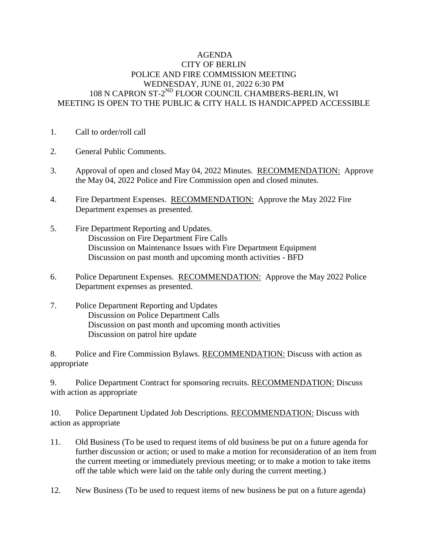## AGENDA CITY OF BERLIN POLICE AND FIRE COMMISSION MEETING WEDNESDAY, JUNE 01, 2022 6:30 PM 108 N CAPRON ST-2<sup>ND</sup> FLOOR COUNCIL CHAMBERS-BERLIN, WI MEETING IS OPEN TO THE PUBLIC & CITY HALL IS HANDICAPPED ACCESSIBLE

- 1. Call to order/roll call
- 2. General Public Comments.
- 3. Approval of open and closed May 04, 2022 Minutes. RECOMMENDATION: Approve the May 04, 2022 Police and Fire Commission open and closed minutes.
- 4. Fire Department Expenses. RECOMMENDATION: Approve the May 2022 Fire Department expenses as presented.
- 5. Fire Department Reporting and Updates. Discussion on Fire Department Fire Calls Discussion on Maintenance Issues with Fire Department Equipment Discussion on past month and upcoming month activities - BFD
- 6. Police Department Expenses. RECOMMENDATION: Approve the May 2022 Police Department expenses as presented.
- 7. Police Department Reporting and Updates Discussion on Police Department Calls Discussion on past month and upcoming month activities Discussion on patrol hire update

8. Police and Fire Commission Bylaws. RECOMMENDATION: Discuss with action as appropriate

9. Police Department Contract for sponsoring recruits. RECOMMENDATION: Discuss with action as appropriate

10. Police Department Updated Job Descriptions. RECOMMENDATION: Discuss with action as appropriate

- 11. Old Business (To be used to request items of old business be put on a future agenda for further discussion or action; or used to make a motion for reconsideration of an item from the current meeting or immediately previous meeting; or to make a motion to take items off the table which were laid on the table only during the current meeting.)
- 12. New Business (To be used to request items of new business be put on a future agenda)